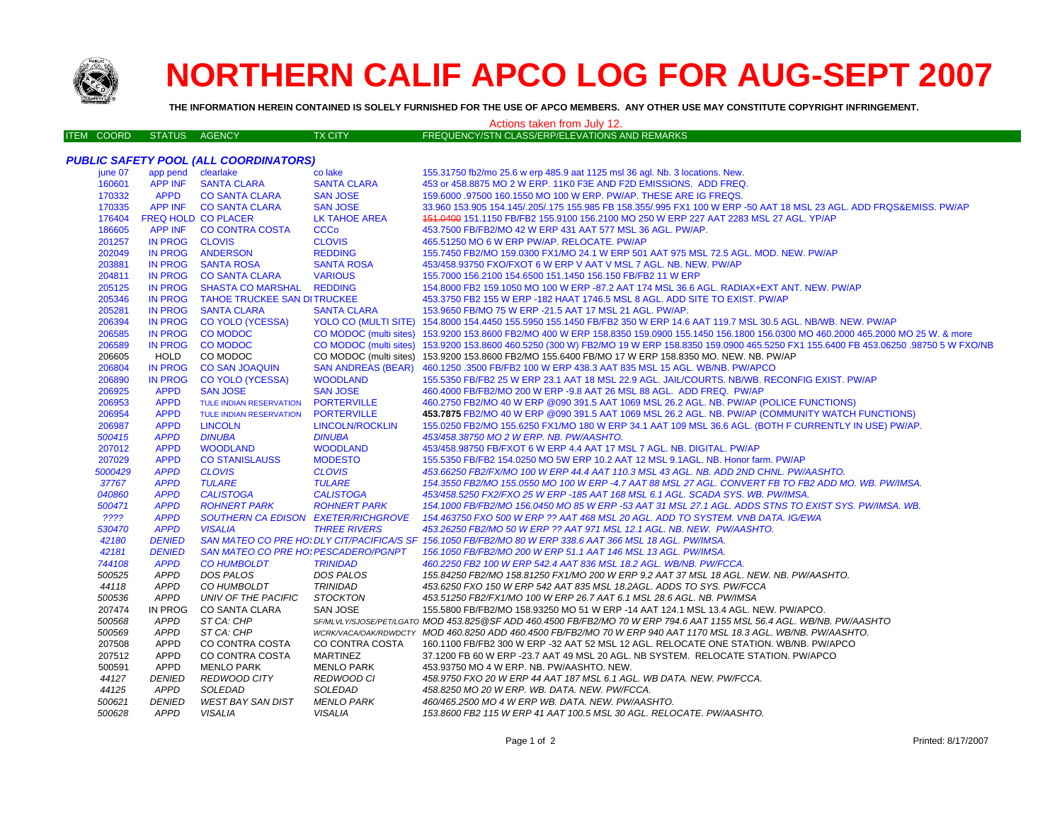

## **NORTHERN CALIF APCO LOG FOR AUG-SEPT 2007**

**THE INFORMATION HEREIN CONTAINED IS SOLELY FURNISHED FOR THE USE OF APCO MEMBERS. ANY OTHER USE MAY CONSTITUTE COPYRIGHT INFRINGEMENT.**

## Actions taken from July 12.

| ITEM COORD STATUS AGENCY<br>TX CITY <sup>1</sup> | FREQUENCY/STN CLASS/ERP/ELEVATIONS AND REMARKS |
|--------------------------------------------------|------------------------------------------------|
|--------------------------------------------------|------------------------------------------------|

| <b>PUBLIC SAFETY POOL (ALL COORDINATORS)</b> |                            |                                             |                           |                                                                                                                                                  |  |
|----------------------------------------------|----------------------------|---------------------------------------------|---------------------------|--------------------------------------------------------------------------------------------------------------------------------------------------|--|
| june 07                                      | app pend clearlake         |                                             | co lake                   | 155.31750 fb2/mo 25.6 w erp 485.9 aat 1125 msl 36 agl. Nb. 3 locations. New.                                                                     |  |
| 160601                                       | <b>APP INF</b>             | <b>SANTA CLARA</b>                          | <b>SANTA CLARA</b>        | 453 or 458.8875 MO 2 W ERP. 11K0 F3E AND F2D EMISSIONS. ADD FREQ.                                                                                |  |
| 170332                                       | <b>APPD</b>                | <b>CO SANTA CLARA</b>                       | <b>SAN JOSE</b>           | 159,6000 .97500 160.1550 MO 100 W ERP. PW/AP. THESE ARE IG FREQS.                                                                                |  |
| 170335                                       |                            | APP INF CO SANTA CLARA                      | <b>SAN JOSE</b>           | 33.960 153.905 154.145/.205/.175 155.985 FB 158.355/.995 FX1 100 W ERP -50 AAT 18 MSL 23 AGL. ADD FRQS&EMISS. PW/AP                              |  |
| 176404                                       | <b>FREQ HOLD CO PLACER</b> |                                             | <b>LK TAHOE AREA</b>      | 151.0400 151.1150 FB/FB2 155.9100 156.2100 MO 250 W ERP 227 AAT 2283 MSL 27 AGL. YP/AP                                                           |  |
| 186605                                       | <b>APP INF</b>             | <b>CO CONTRA COSTA</b>                      | <b>CCCo</b>               | 453.7500 FB/FB2/MO 42 W ERP 431 AAT 577 MSL 36 AGL. PW/AP.                                                                                       |  |
| 201257                                       | IN PROG                    | <b>CLOVIS</b>                               | <b>CLOVIS</b>             | 465.51250 MO 6 W ERP PW/AP, RELOCATE, PW/AP                                                                                                      |  |
| 202049                                       | <b>IN PROG</b>             | <b>ANDERSON</b>                             | <b>REDDING</b>            | 155.7450 FB2/MO 159.0300 FX1/MO 24.1 W ERP 501 AAT 975 MSL 72.5 AGL. MOD. NEW. PW/AP                                                             |  |
| 203881                                       | <b>IN PROG</b>             | <b>SANTA ROSA</b>                           | <b>SANTA ROSA</b>         | 453/458.93750 FXO/FXOT 6 W ERP V AAT V MSL 7 AGL, NB, NEW, PW/AP                                                                                 |  |
| 204811                                       | <b>IN PROG</b>             | <b>CO SANTA CLARA</b>                       | <b>VARIOUS</b>            | 155.7000 156.2100 154.6500 151.1450 156.150 FB/FB2 11 W ERP                                                                                      |  |
| 205125                                       | <b>IN PROG</b>             | <b>SHASTA CO MARSHAL</b>                    | <b>REDDING</b>            | 154.8000 FB2 159.1050 MO 100 W ERP -87.2 AAT 174 MSL 36.6 AGL. RADIAX+EXT ANT. NEW. PW/AP                                                        |  |
| 205346                                       | <b>IN PROG</b>             | <b>TAHOE TRUCKEE SAN DITRUCKEE</b>          |                           | 453.3750 FB2 155 W ERP -182 HAAT 1746.5 MSL 8 AGL. ADD SITE TO EXIST. PW/AP                                                                      |  |
| 205281                                       | <b>IN PROG</b>             | <b>SANTA CLARA</b>                          | <b>SANTA CLARA</b>        | 153.9650 FB/MO 75 W ERP -21.5 AAT 17 MSL 21 AGL. PW/AP.                                                                                          |  |
| 206394                                       | <b>IN PROG</b>             | <b>CO YOLO (YCESSA)</b>                     |                           | YOLO CO (MULTI SITE) 154.8000 154.4450 155.5950 155.1450 FB/FB2 350 W ERP 14.6 AAT 119.7 MSL 30.5 AGL. NB/WB. NEW. PW/AP                         |  |
| 206585                                       | <b>IN PROG</b>             | <b>CO MODOC</b>                             |                           | CO MODOC (multi sites) 153.9200 153.8600 FB2/MO 400 W ERP 158.8350 159.0900 155.1450 156.1800 156.0300 MO 460.2000 465.2000 MO 25 W. & more      |  |
| 206589                                       | IN PROG                    | <b>CO MODOC</b>                             |                           | CO MODOC (multi sites) 153.9200 153.8600 460.5250 (300 W) FB2/MO 19 W ERP 158.8350 159.0900 465.5250 FX1 155.6400 FB 453.06250 .98750 5 W FXO/NB |  |
| 206605                                       | <b>HOLD</b>                | CO MODOC                                    |                           | CO MODOC (multi sites) 153.9200 153.8600 FB2/MO 155.6400 FB/MO 17 W ERP 158.8350 MO. NEW. NB. PW/AP                                              |  |
| 206804                                       | <b>IN PROG</b>             | <b>CO SAN JOAQUIN</b>                       | <b>SAN ANDREAS (BEAR)</b> | 460.1250 .3500 FB/FB2 100 W ERP 438.3 AAT 835 MSL 15 AGL. WB/NB. PW/APCO                                                                         |  |
| 206890                                       | <b>IN PROG</b>             | <b>CO YOLO (YCESSA)</b>                     | <b>WOODLAND</b>           | 155.5350 FB/FB2 25 W ERP 23.1 AAT 18 MSL 22.9 AGL. JAIL/COURTS. NB/WB. RECONFIG EXIST. PW/AP                                                     |  |
| 206925                                       | <b>APPD</b>                | <b>SAN JOSE</b>                             | <b>SAN JOSE</b>           | 460.4000 FB/FB2/MO 200 W ERP -9.8 AAT 26 MSL 88 AGL. ADD FREQ. PW/AP                                                                             |  |
| 206953                                       | <b>APPD</b>                | TULE INDIAN RESERVATION                     | <b>PORTERVILLE</b>        | 460.2750 FB2/MO 40 W ERP @090 391.5 AAT 1069 MSL 26.2 AGL. NB. PW/AP (POLICE FUNCTIONS)                                                          |  |
| 206954                                       | <b>APPD</b>                | <b>TULE INDIAN RESERVATION</b>              | <b>PORTERVILLE</b>        | 453.7875 FB2/MO 40 W ERP @090 391.5 AAT 1069 MSL 26.2 AGL. NB. PW/AP (COMMUNITY WATCH FUNCTIONS)                                                 |  |
| 206987                                       | <b>APPD</b>                | <b>LINCOLN</b>                              | <b>LINCOLN/ROCKLIN</b>    | 155.0250 FB2/MO 155.6250 FX1/MO 180 W ERP 34.1 AAT 109 MSL 36.6 AGL. (BOTH F CURRENTLY IN USE) PW/AP.                                            |  |
| 500415                                       | <b>APPD</b>                | <b>DINUBA</b>                               | <b>DINUBA</b>             | 453/458.38750 MO 2 W ERP. NB. PW/AASHTO.                                                                                                         |  |
| 207012                                       | <b>APPD</b>                | <b>WOODLAND</b>                             | <b>WOODLAND</b>           | 453/458.98750 FB/FXOT 6 W ERP 4.4 AAT 17 MSL 7 AGL. NB. DIGITAL. PW/AP                                                                           |  |
| 207029                                       | <b>APPD</b>                | <b>CO STANISLAUSS</b>                       | <b>MODESTO</b>            | 155,5350 FB/FB2 154,0250 MO 5W ERP 10.2 AAT 12 MSL 9.1AGL, NB, Honor farm, PW/AP                                                                 |  |
| 5000429                                      | <b>APPD</b>                | <b>CLOVIS</b>                               | <b>CLOVIS</b>             | 453.66250 FB2/FX/MO 100 W ERP 44.4 AAT 110.3 MSL 43 AGL. NB. ADD 2ND CHNL. PW/AASHTO.                                                            |  |
| 37767                                        | <b>APPD</b>                | <b>TULARE</b>                               | <b>TULARE</b>             | 154.3550 FB2/MO 155.0550 MO 100 W ERP -4.7 AAT 88 MSL 27 AGL. CONVERT FB TO FB2 ADD MO. WB. PW/IMSA.                                             |  |
| 040860                                       | <b>APPD</b>                | <b>CALISTOGA</b>                            | <b>CALISTOGA</b>          | 453/458.5250 FX2/FXO 25 W ERP -185 AAT 168 MSL 6.1 AGL. SCADA SYS. WB. PW/IMSA.                                                                  |  |
| 500471                                       | <b>APPD</b>                | <b>ROHNERT PARK</b>                         | <b>ROHNERT PARK</b>       | 154.1000 FB/FB2/MO 156.0450 MO 85 W ERP -53 AAT 31 MSL 27.1 AGL. ADDS STNS TO EXIST SYS. PW/IMSA. WB.                                            |  |
| ????                                         | <b>APPD</b>                | SOUTHERN CA EDISON EXETER/RICHGROVE         |                           | 154.463750 FXO 500 W ERP ?? AAT 468 MSL 20 AGL. ADD TO SYSTEM. VNB DATA. IG/EWA                                                                  |  |
| 530470                                       | <b>APPD</b>                | <b>VISALIA</b>                              | <b>THREE RIVERS</b>       | 453.26250 FB2/MO 50 W ERP ?? AAT 971 MSL 12.1 AGL. NB. NEW. PW/AASHTO.                                                                           |  |
| 42180                                        | <b>DENIED</b>              |                                             |                           | SAN MATEO CO PRE HO: DLY CIT/PACIFICA/S SF 156.1050 FB/FB2/MO 80 W ERP 338.6 AAT 366 MSL 18 AGL. PW/IMSA.                                        |  |
| 42181                                        | <b>DENIED</b>              | <b>SAN MATEO CO PRE HO: PESCADERO/PGNPT</b> |                           | 156.1050 FB/FB2/MO 200 W ERP 51.1 AAT 146 MSL 13 AGL. PW/IMSA.                                                                                   |  |
| 744108                                       | <b>APPD</b>                | <b>CO HUMBOLDT</b>                          | <b>TRINIDAD</b>           | 460.2250 FB2 100 W ERP 542.4 AAT 836 MSL 18.2 AGL. WB/NB. PW/FCCA.                                                                               |  |
| 500525                                       | <b>APPD</b>                | DOS PALOS                                   | <b>DOS PALOS</b>          | 155.84250 FB2/MO 158.81250 FX1/MO 200 W ERP 9.2 AAT 37 MSL 18 AGL. NEW. NB. PW/AASHTO.                                                           |  |
| 44118                                        | APPD                       | CO HUMBOLDT                                 | TRINIDAD                  | 453.6250 FXO 150 W ERP 542 AAT 835 MSL 18.2AGL. ADDS TO SYS. PW/FCCA                                                                             |  |
| 500536                                       | APPD                       | UNIV OF THE PACIFIC                         | <b>STOCKTON</b>           | 453.51250 FB2/FX1/MO 100 W ERP 26.7 AAT 6.1 MSL 28.6 AGL. NB. PW/IMSA                                                                            |  |
| 207474                                       | IN PROG                    | CO SANTA CLARA                              | SAN JOSE                  | 155.5800 FB/FB2/MO 158.93250 MO 51 W ERP -14 AAT 124.1 MSL 13.4 AGL. NEW. PW/APCO.                                                               |  |
| 500568                                       | <b>APPD</b>                | ST CA: CHP                                  |                           | SF/MLVLY/SJOSE/PET/LGATO MOD 453.825@SF ADD 460.4500 FB/FB2/MO 70 W ERP 794.6 AAT 1155 MSL 56.4 AGL. WB/NB. PW/AASHTO                            |  |
| 500569                                       | APPD                       | ST CA: CHP                                  |                           | WCRKVACA/OAK/RDWDCTY MOD 460.8250 ADD 460.4500 FB/FB2/MO 70 W ERP 940 AAT 1170 MSL 18.3 AGL. WB/NB. PW/AASHTO.                                   |  |
| 207508                                       | APPD                       | CO CONTRA COSTA                             | CO CONTRA COSTA           | 160.1100 FB/FB2 300 W ERP -32 AAT 52 MSL 12 AGL. RELOCATE ONE STATION. WB/NB. PW/APCO                                                            |  |
| 207512                                       | <b>APPD</b>                | CO CONTRA COSTA                             | <b>MARTINEZ</b>           | 37.1200 FB 60 W ERP -23.7 AAT 49 MSL 20 AGL. NB SYSTEM. RELOCATE STATION. PW/APCO                                                                |  |
| 500591                                       | APPD                       | <b>MENLO PARK</b>                           | <b>MENLO PARK</b>         | 453.93750 MO 4 W ERP. NB. PW/AASHTO. NEW.                                                                                                        |  |
| 44127                                        | <b>DENIED</b>              | REDWOOD CITY                                | <b>REDWOOD CI</b>         | 458.9750 FXO 20 W ERP 44 AAT 187 MSL 6.1 AGL. WB DATA. NEW. PW/FCCA.                                                                             |  |
| 44125                                        | APPD                       | <b>SOLEDAD</b>                              | SOLEDAD                   | 458.8250 MO 20 W ERP. WB. DATA. NEW. PW/FCCA.                                                                                                    |  |
| 500621                                       | <b>DENIED</b>              | <b>WEST BAY SAN DIST</b>                    | <b>MENLO PARK</b>         | 460/465.2500 MO 4 W ERP WB. DATA, NEW, PW/AASHTO,                                                                                                |  |
| 500628                                       | <b>APPD</b>                | <b>VISALIA</b>                              | <b>VISALIA</b>            | 153.8600 FB2 115 W ERP 41 AAT 100.5 MSL 30 AGL. RELOCATE. PW/AASHTO.                                                                             |  |